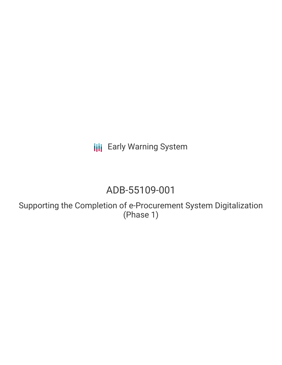**III** Early Warning System

# ADB-55109-001

Supporting the Completion of e-Procurement System Digitalization (Phase 1)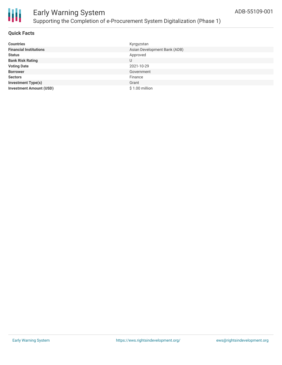

### **Quick Facts**

| <b>Countries</b>               | Kyrgyzstan                   |
|--------------------------------|------------------------------|
| <b>Financial Institutions</b>  | Asian Development Bank (ADB) |
| <b>Status</b>                  | Approved                     |
| <b>Bank Risk Rating</b>        | U                            |
| <b>Voting Date</b>             | 2021-10-29                   |
| <b>Borrower</b>                | Government                   |
| <b>Sectors</b>                 | Finance                      |
| <b>Investment Type(s)</b>      | Grant                        |
| <b>Investment Amount (USD)</b> | $$1.00$ million              |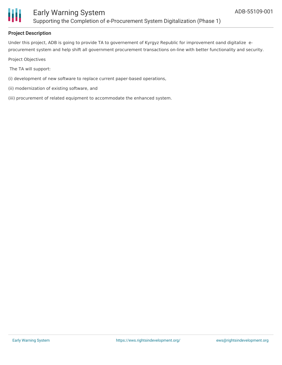

## **Project Description**

Under this project, ADB is going to provide TA to governement of Kyrgyz Republic for improvement oand digitalize eprocurement system and help shift all government procurement transactions on-line with better functionality and security.

Project Objectives

The TA will support:

- (i) development of new software to replace current paper-based operations,
- (ii) modernization of existing software, and
- (iii) procurement of related equipment to accommodate the enhanced system.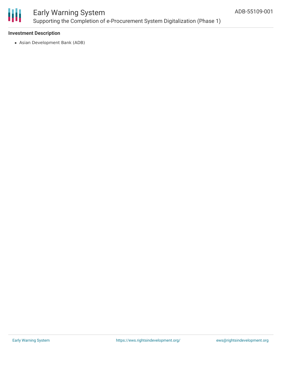

# Early Warning System Supporting the Completion of e-Procurement System Digitalization (Phase 1)

### **Investment Description**

Asian Development Bank (ADB)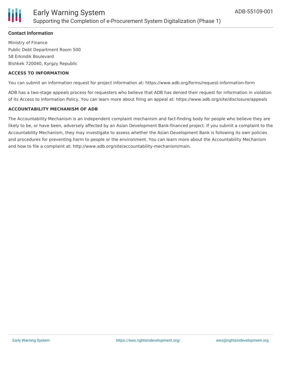

### **Contact Information**

Ministry of Finance Public Debt Department Room 500 58 Erkindik Boulevard Bishkek 720040, Kyrgzy Republic

#### **ACCESS TO INFORMATION**

You can submit an information request for project information at: https://www.adb.org/forms/request-information-form

ADB has a two-stage appeals process for requesters who believe that ADB has denied their request for information in violation of its Access to Information Policy. You can learn more about filing an appeal at: https://www.adb.org/site/disclosure/appeals

#### **ACCOUNTABILITY MECHANISM OF ADB**

The Accountability Mechanism is an independent complaint mechanism and fact-finding body for people who believe they are likely to be, or have been, adversely affected by an Asian Development Bank-financed project. If you submit a complaint to the Accountability Mechanism, they may investigate to assess whether the Asian Development Bank is following its own policies and procedures for preventing harm to people or the environment. You can learn more about the Accountability Mechanism and how to file a complaint at: http://www.adb.org/site/accountability-mechanism/main.